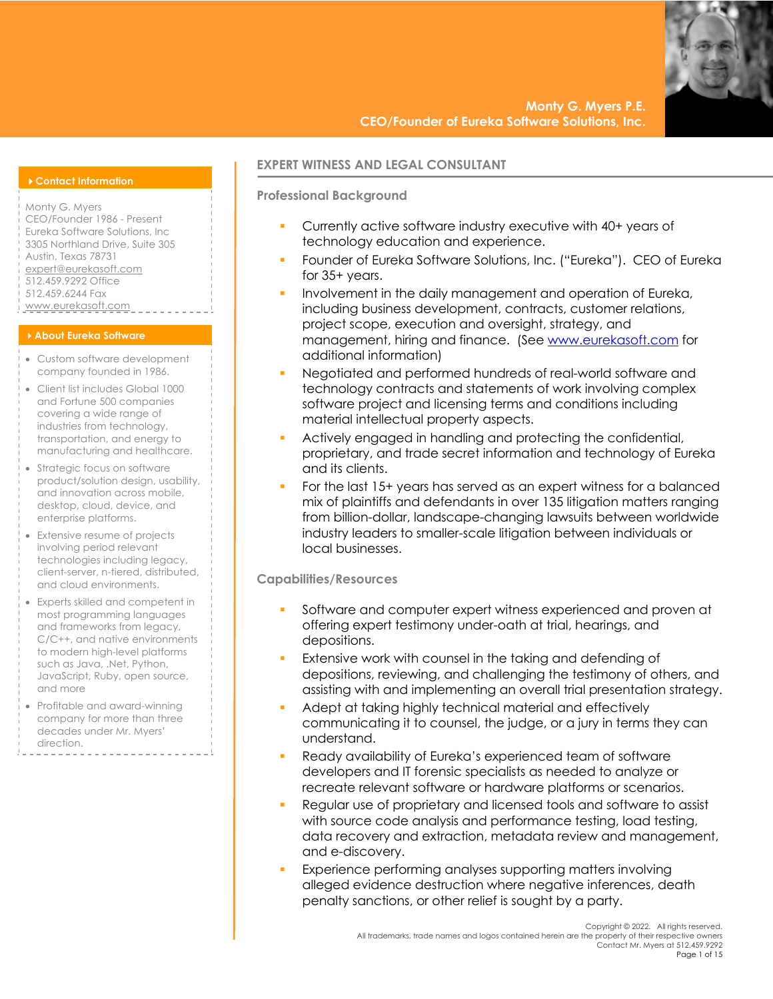### 4**Contact Information**

Monty G. Myers CEO/Founder 1986 - Present Eureka Software Solutions, Inc 3305 Northland Drive, Suite 305 Austin, Texas 78731 expert@eurekasoft.com 512.459.9292 Office 512.459.6244 Fax www.eurekasoft.com

#### 4**About Eureka Software**

- Custom software development company founded in 1986.
- Client list includes Global 1000 and Fortune 500 companies covering a wide range of industries from technology, transportation, and energy to manufacturing and healthcare.
- Strategic focus on software product/solution design, usability, and innovation across mobile, desktop, cloud, device, and enterprise platforms.
- Extensive resume of projects involving period relevant technologies including legacy, client-server, n-tiered, distributed, and cloud environments.
- Experts skilled and competent in most programming languages and frameworks from legacy, C/C++, and native environments to modern high-level platforms such as Java, .Net, Python, JavaScript, Ruby, open source, and more
- Profitable and award-winning company for more than three decades under Mr. Myers' direction.

## **EXPERT WITNESS AND LEGAL CONSULTANT**

# **Professional Background**

- § Currently active software industry executive with 40+ years of technology education and experience.
- § Founder of Eureka Software Solutions, Inc. ("Eureka"). CEO of Eureka for 35+ years.
- Involvement in the daily management and operation of Eureka, including business development, contracts, customer relations, project scope, execution and oversight, strategy, and management, hiring and finance. (See www.eurekasoft.com for additional information)
- Negotiated and performed hundreds of real-world software and technology contracts and statements of work involving complex software project and licensing terms and conditions including material intellectual property aspects.
- Actively engaged in handling and protecting the confidential, proprietary, and trade secret information and technology of Eureka and its clients.
- § For the last 15+ years has served as an expert witness for a balanced mix of plaintiffs and defendants in over 135 litigation matters ranging from billion-dollar, landscape-changing lawsuits between worldwide industry leaders to smaller-scale litigation between individuals or local businesses.

## **Capabilities/Resources**

- § Software and computer expert witness experienced and proven at offering expert testimony under-oath at trial, hearings, and depositions.
- Extensive work with counsel in the taking and defending of depositions, reviewing, and challenging the testimony of others, and assisting with and implementing an overall trial presentation strategy.
- § Adept at taking highly technical material and effectively communicating it to counsel, the judge, or a jury in terms they can understand.
- Ready availability of Eureka's experienced team of software developers and IT forensic specialists as needed to analyze or recreate relevant software or hardware platforms or scenarios.
- § Regular use of proprietary and licensed tools and software to assist with source code analysis and performance testing, load testing, data recovery and extraction, metadata review and management, and e-discovery.
- Experience performing analyses supporting matters involving alleged evidence destruction where negative inferences, death penalty sanctions, or other relief is sought by a party.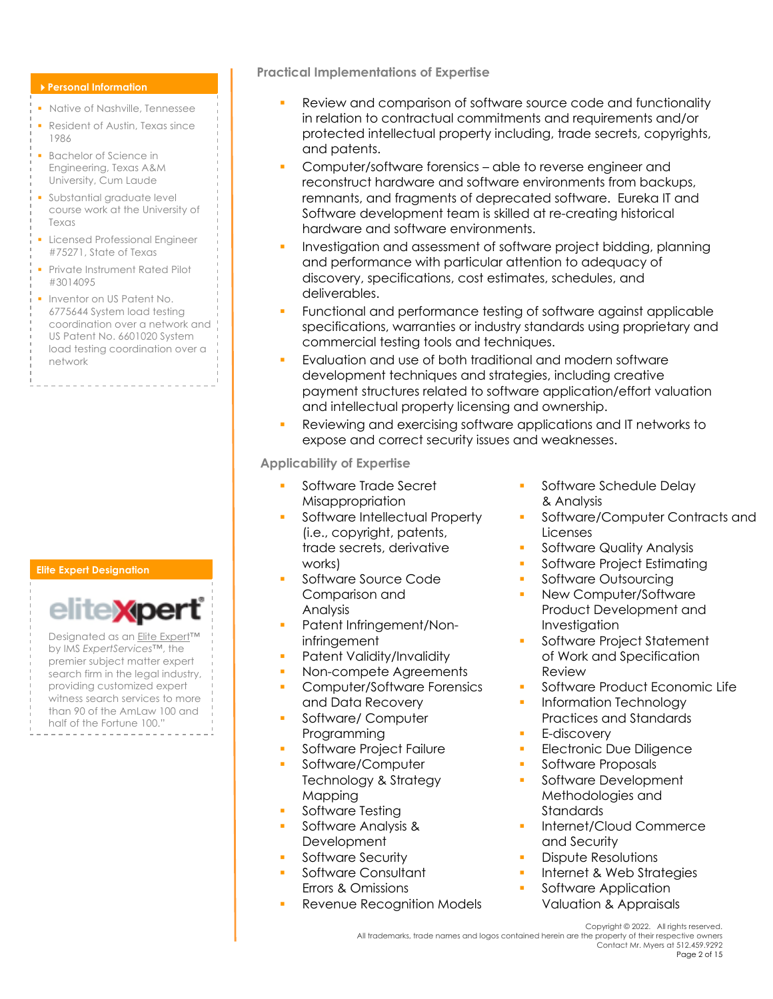### 4**Personal Information**

- § Native of Nashville, Tennessee
- Resident of Austin, Texas since 1986
- Bachelor of Science in Engineering, Texas A&M University, Cum Laude
- § Substantial graduate level course work at the University of Texas
- **Exercise Engineer** Licensed Professional Engineer #75271, State of Texas
- **Private Instrument Rated Pilot** #3014095
- **Inventor on US Patent No.** 6775644 System load testing coordination over a network and US Patent No. 6601020 System load testing coordination over a network

. . . . . . . . . . . . . . . .

## **Elite Expert Designation**



Designated as an Elite Expert™ by IMS *ExpertServices™*, the premier subject matter expert search firm in the legal industry, providing customized expert witness search services to more than 90 of the AmLaw 100 and half of the Fortune 100."

**Practical Implementations of Expertise**

- § Review and comparison of software source code and functionality in relation to contractual commitments and requirements and/or protected intellectual property including, trade secrets, copyrights, and patents.
- § Computer/software forensics able to reverse engineer and reconstruct hardware and software environments from backups, remnants, and fragments of deprecated software. Eureka IT and Software development team is skilled at re-creating historical hardware and software environments.
- § Investigation and assessment of software project bidding, planning and performance with particular attention to adequacy of discovery, specifications, cost estimates, schedules, and deliverables.
- Functional and performance testing of software against applicable specifications, warranties or industry standards using proprietary and commercial testing tools and techniques.
- Evaluation and use of both traditional and modern software development techniques and strategies, including creative payment structures related to software application/effort valuation and intellectual property licensing and ownership.
- § Reviewing and exercising software applications and IT networks to expose and correct security issues and weaknesses.

**Applicability of Expertise**

- § Software Trade Secret **Misappropriation**
- § Software Intellectual Property (i.e., copyright, patents, trade secrets, derivative works)
- § Software Source Code Comparison and Analysis
- Patent Infringement/Noninfringement
- Patent Validity/Invalidity
- Non-compete Agreements
- § Computer/Software Forensics and Data Recovery
- § Software/ Computer Programming
- **•** Software Project Failure
- § Software/Computer Technology & Strategy Mapping
- § Software Testing
- § Software Analysis & **Development**
- § Software Security
- § Software Consultant Errors & Omissions
- § Revenue Recognition Models
- **•** Software Schedule Delay & Analysis
- § Software/Computer Contracts and Licenses
- § Software Quality Analysis
- **•** Software Project Estimating
- Software Outsourcing
- New Computer/Software Product Development and Investigation
- **•** Software Project Statement of Work and Specification Review
- § Software Product Economic Life
- § Information Technology Practices and Standards
- § E-discovery
- **Electronic Due Diligence**
- **•** Software Proposals
- § Software Development Methodologies and Standards
- § Internet/Cloud Commerce and Security
- **•** Dispute Resolutions
- **•** Internet & Web Strategies
- Software Application Valuation & Appraisals

Copyright © 2022. All rights reserved. All trademarks, trade names and logos contained herein are the property of their respective owners Contact Mr. Myers at 512.459.9292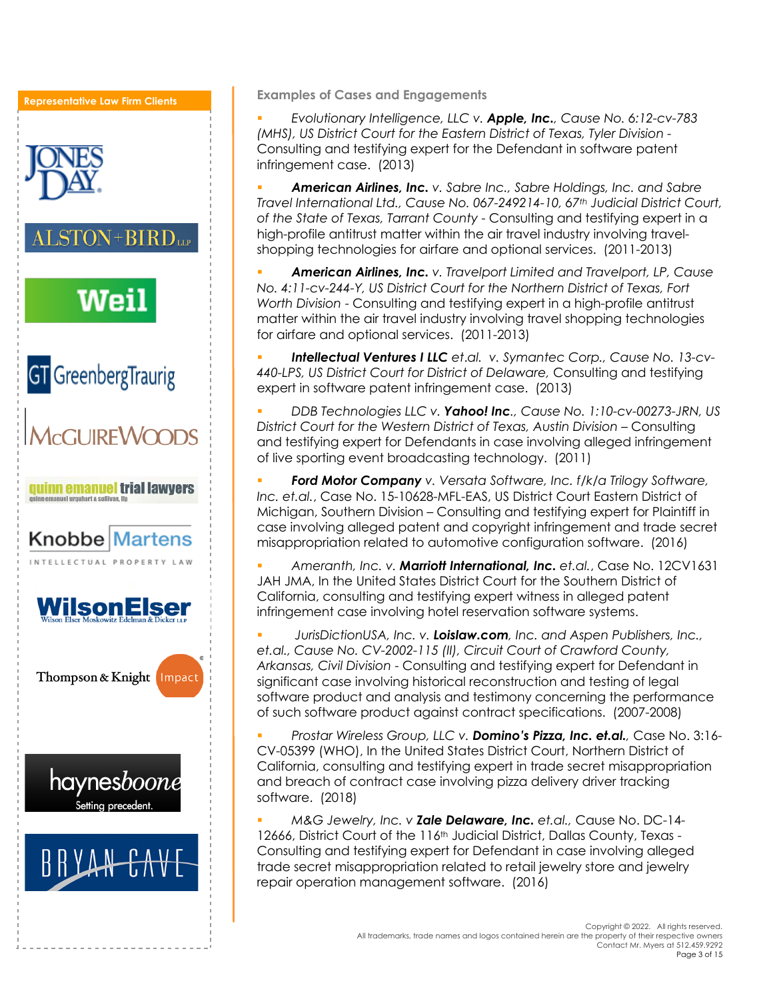**Representative Law Firm Clients** $STON + BIRD$  LLP Weil **GT** GreenbergTraurig **A<sub>CCLURE</sub>WOODS guinnemanuel trial lawyers** el urguhart a sulfivan II **Knobbe Martens** INTELLECTUAL PROPERTY **/ilsonElser** Thompson & Knight Impact haynes*boone* Setting preceden

**Examples of Cases and Engagements**

§ *Evolutionary Intelligence, LLC v. Apple, Inc., Cause No. 6:12-cv-783 (MHS), US District Court for the Eastern District of Texas, Tyler Division -* Consulting and testifying expert for the Defendant in software patent infringement case. (2013)

§ *American Airlines, Inc. v. Sabre Inc., Sabre Holdings, Inc. and Sabre Travel International Ltd., Cause No. 067-249214-10, 67th Judicial District Court, of the State of Texas, Tarrant County* - Consulting and testifying expert in a high-profile antitrust matter within the air travel industry involving travelshopping technologies for airfare and optional services. (2011-2013)

§ *American Airlines, Inc. v. Travelport Limited and Travelport, LP, Cause No. 4:11-cv-244-Y, US District Court for the Northern District of Texas, Fort Worth Division* - Consulting and testifying expert in a high-profile antitrust matter within the air travel industry involving travel shopping technologies for airfare and optional services. (2011-2013)

§ *Intellectual Ventures I LLC et*.*al. v. Symantec Corp., Cause No. 13-cv-440-LPS, US District Court for District of Delaware,* Consulting and testifying expert in software patent infringement case. (2013)

§ *DDB Technologies LLC v. Yahoo! Inc., Cause No. 1:10-cv-00273-JRN, US District Court for the Western District of Texas, Austin Division* – Consulting and testifying expert for Defendants in case involving alleged infringement of live sporting event broadcasting technology. (2011)

§ *Ford Motor Company v. Versata Software, Inc. f/k/a Trilogy Software, Inc. et.al.*, Case No. 15-10628-MFL-EAS, US District Court Eastern District of Michigan, Southern Division – Consulting and testifying expert for Plaintiff in case involving alleged patent and copyright infringement and trade secret misappropriation related to automotive configuration software. (2016)

§ *Ameranth, Inc. v. Marriott International, Inc. et.al.*, Case No. 12CV1631 JAH JMA, In the United States District Court for the Southern District of California, consulting and testifying expert witness in alleged patent infringement case involving hotel reservation software systems.

§ *JurisDictionUSA, Inc. v. Loislaw.com, Inc. and Aspen Publishers, Inc., et.al., Cause No. CV-2002-115 (II), Circuit Court of Crawford County, Arkansas, Civil Division* - Consulting and testifying expert for Defendant in significant case involving historical reconstruction and testing of legal software product and analysis and testimony concerning the performance of such software product against contract specifications. (2007-2008)

§ *Prostar Wireless Group, LLC v. Domino's Pizza, Inc. et.al.,* Case No. 3:16- CV-05399 (WHO), In the United States District Court, Northern District of California, consulting and testifying expert in trade secret misappropriation and breach of contract case involving pizza delivery driver tracking software. (2018)

§ *M&G Jewelry, Inc. v Zale Delaware, Inc. et.al.,* Cause No. DC-14- 12666, District Court of the 116th Judicial District, Dallas County, Texas - Consulting and testifying expert for Defendant in case involving alleged trade secret misappropriation related to retail jewelry store and jewelry repair operation management software. (2016)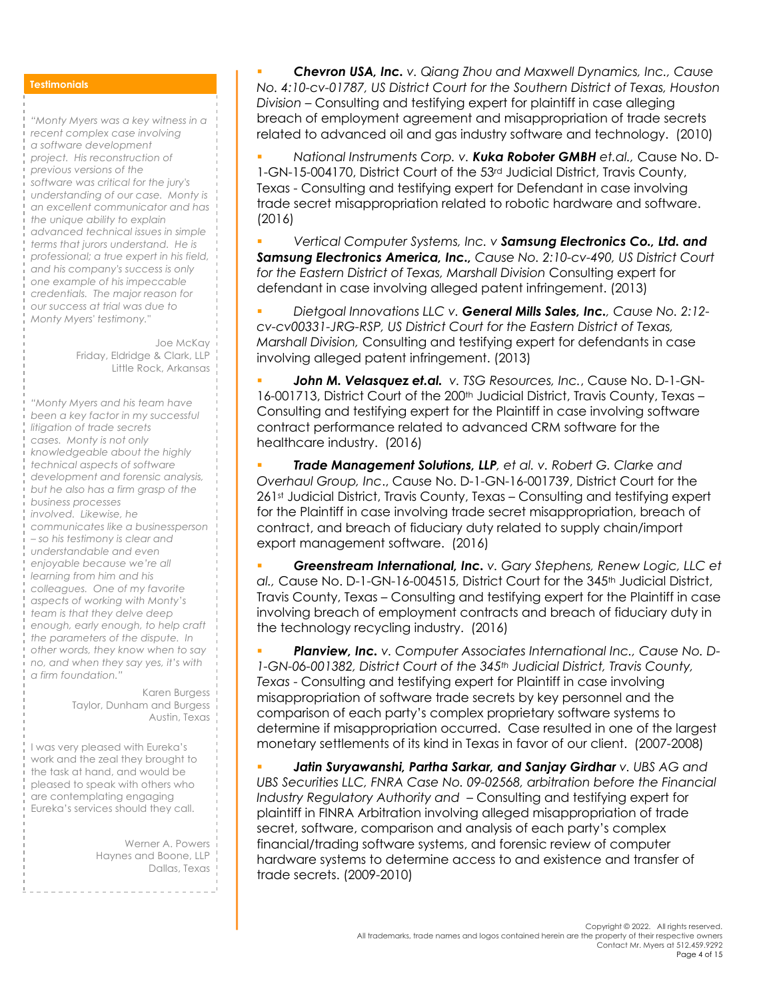## **Testimonials**

*"Monty Myers was a key witness in a recent complex case involving a software development project. His reconstruction of previous versions of the software was critical for the jury's understanding of our case. Monty is an excellent communicator and has the unique ability to explain advanced technical issues in simple terms that jurors understand. He is professional; a true expert in his field, and his company's success is only one example of his impeccable credentials. The major reason for our success at trial was due to Monty Myers' testimony."*

> Joe McKay Friday, Eldridge & Clark, LLP Little Rock, Arkansas

*"Monty Myers and his team have been a key factor in my successful litigation of trade secrets cases. Monty is not only knowledgeable about the highly technical aspects of software development and forensic analysis, but he also has a firm grasp of the business processes involved. Likewise, he communicates like a businessperson – so his testimony is clear and understandable and even enjoyable because we're all learning from him and his colleagues. One of my favorite aspects of working with Monty's team is that they delve deep enough, early enough, to help craft the parameters of the dispute. In other words, they know when to say no, and when they say yes, it's with a firm foundation."*

> Karen Burgess Taylor, Dunham and Burgess Austin, Texas

I was very pleased with Eureka's work and the zeal they brought to the task at hand, and would be pleased to speak with others who are contemplating engaging Eureka's services should they call.

> Werner A. Powers Haynes and Boone, LLP Dallas, Texas

§ *Chevron USA, Inc. v. Qiang Zhou and Maxwell Dynamics, Inc., Cause No. 4:10-cv-01787, US District Court for the Southern District of Texas, Houston Division* – Consulting and testifying expert for plaintiff in case alleging breach of employment agreement and misappropriation of trade secrets related to advanced oil and gas industry software and technology. (2010)

§ *National Instruments Corp. v. Kuka Roboter GMBH et.al.,* Cause No. D-1-GN-15-004170, District Court of the 53rd Judicial District, Travis County, Texas - Consulting and testifying expert for Defendant in case involving trade secret misappropriation related to robotic hardware and software. (2016)

§ *Vertical Computer Systems, Inc. v Samsung Electronics Co., Ltd. and Samsung Electronics America, Inc., Cause No. 2:10-cv-490, US District Court for the Eastern District of Texas, Marshall Division* Consulting expert for defendant in case involving alleged patent infringement. (2013)

§ *Dietgoal Innovations LLC v. General Mills Sales, Inc., Cause No. 2:12 cv-cv00331-JRG-RSP, US District Court for the Eastern District of Texas, Marshall Division,* Consulting and testifying expert for defendants in case involving alleged patent infringement. (2013)

§ *John M. Velasquez et.al. v. TSG Resources, Inc.*, Cause No. D-1-GN-16-001713, District Court of the 200th Judicial District, Travis County, Texas – Consulting and testifying expert for the Plaintiff in case involving software contract performance related to advanced CRM software for the healthcare industry. (2016)

§ *Trade Management Solutions, LLP, et al. v. Robert G. Clarke and Overhaul Group, Inc*., Cause No. D-1-GN-16-001739, District Court for the 261st Judicial District, Travis County, Texas - Consulting and testifying expert for the Plaintiff in case involving trade secret misappropriation, breach of contract, and breach of fiduciary duty related to supply chain/import export management software. (2016)

§ *Greenstream International, Inc. v. Gary Stephens, Renew Logic, LLC et al.,* Cause No. D-1-GN-16-004515, District Court for the 345th Judicial District, Travis County, Texas – Consulting and testifying expert for the Plaintiff in case involving breach of employment contracts and breach of fiduciary duty in the technology recycling industry. (2016)

§ *Planview, Inc. v. Computer Associates International Inc., Cause No. D-1-GN-06-001382, District Court of the 345th Judicial District, Travis County, Texas* - Consulting and testifying expert for Plaintiff in case involving misappropriation of software trade secrets by key personnel and the comparison of each party's complex proprietary software systems to determine if misappropriation occurred. Case resulted in one of the largest monetary settlements of its kind in Texas in favor of our client. (2007-2008)

§ *Jatin Suryawanshi, Partha Sarkar, and Sanjay Girdhar v. UBS AG and*  UBS Securities LLC, FNRA Case No. 09-02568, arbitration before the Financial *Industry Regulatory Authority and* – Consulting and testifying expert for plaintiff in FINRA Arbitration involving alleged misappropriation of trade secret, software, comparison and analysis of each party's complex financial/trading software systems, and forensic review of computer hardware systems to determine access to and existence and transfer of trade secrets. (2009-2010)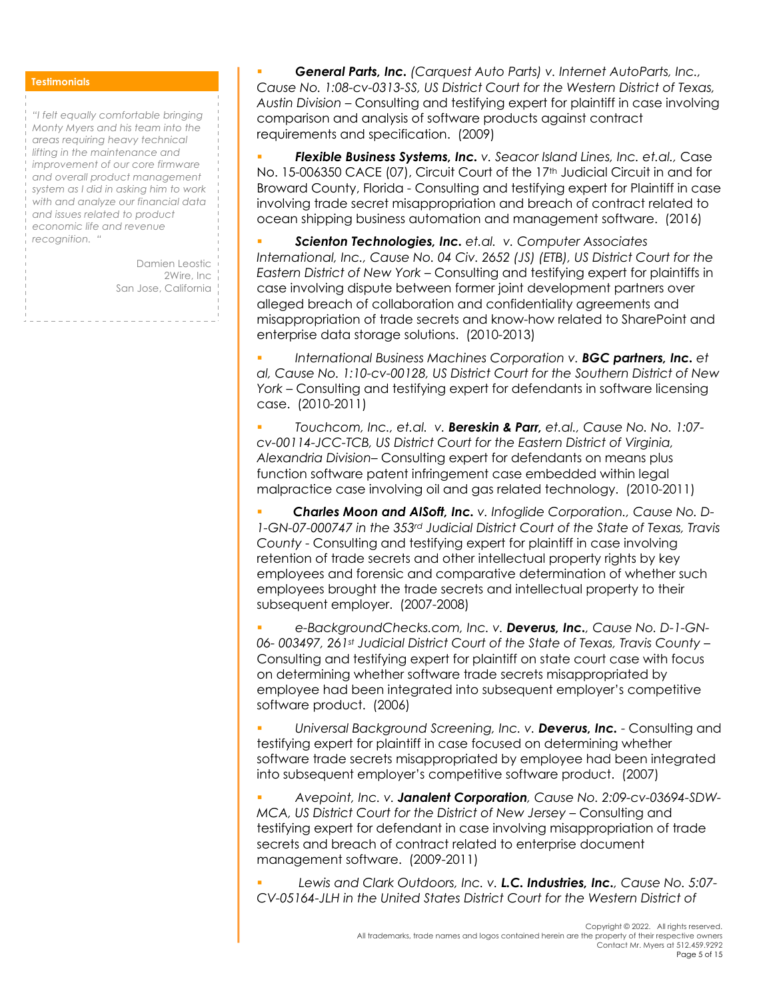### **Testimonials**

*"I felt equally comfortable bringing Monty Myers and his team into the areas requiring heavy technical lifting in the maintenance and improvement of our core firmware and overall product management system as I did in asking him to work with and analyze our financial data and issues related to product economic life and revenue recognition. "*

> Damien Leostic 2Wire, Inc San Jose, California

§ *General Parts, Inc. (Carquest Auto Parts) v. Internet AutoParts, Inc., Cause No. 1:08-cv-0313-SS, US District Court for the Western District of Texas, Austin Division* – Consulting and testifying expert for plaintiff in case involving comparison and analysis of software products against contract requirements and specification. (2009)

§ *Flexible Business Systems, Inc. v. Seacor Island Lines, Inc. et.al.,* Case No. 15-006350 CACE (07), Circuit Court of the 17<sup>th</sup> Judicial Circuit in and for Broward County, Florida - Consulting and testifying expert for Plaintiff in case involving trade secret misappropriation and breach of contract related to ocean shipping business automation and management software. (2016)

§ *Scienton Technologies, Inc. et.al. v. Computer Associates International, Inc., Cause No. 04 Civ. 2652 (JS) (ETB), US District Court for the Eastern District of New York* – Consulting and testifying expert for plaintiffs in case involving dispute between former joint development partners over alleged breach of collaboration and confidentiality agreements and misappropriation of trade secrets and know-how related to SharePoint and enterprise data storage solutions. (2010-2013)

**International Business Machines Corporation v. <b>BGC partners, Inc.** et *al, Cause No. 1:10-cv-00128, US District Court for the Southern District of New York –* Consulting and testifying expert for defendants in software licensing case. (2010-2011)

§ *Touchcom, Inc., et.al. v. Bereskin & Parr, et.al., Cause No. No. 1:07 cv-00114-JCC-TCB, US District Court for the Eastern District of Virginia, Alexandria Division*– Consulting expert for defendants on means plus function software patent infringement case embedded within legal malpractice case involving oil and gas related technology. (2010-2011)

§ *Charles Moon and AISoft, Inc. v. Infoglide Corporation., Cause No. D-1-GN-07-000747 in the 353rd Judicial District Court of the State of Texas, Travis County* - Consulting and testifying expert for plaintiff in case involving retention of trade secrets and other intellectual property rights by key employees and forensic and comparative determination of whether such employees brought the trade secrets and intellectual property to their subsequent employer. (2007-2008)

§ *e-BackgroundChecks.com, Inc. v. Deverus, Inc., Cause No. D-1-GN-06- 003497, 261st Judicial District Court of the State of Texas, Travis County* – Consulting and testifying expert for plaintiff on state court case with focus on determining whether software trade secrets misappropriated by employee had been integrated into subsequent employer's competitive software product. (2006)

§ *Universal Background Screening, Inc. v. Deverus, Inc.* - Consulting and testifying expert for plaintiff in case focused on determining whether software trade secrets misappropriated by employee had been integrated into subsequent employer's competitive software product. (2007)

§ *Avepoint, Inc. v. Janalent Corporation, Cause No. 2:09-cv-03694-SDW-MCA, US District Court for the District of New Jersey –* Consulting and testifying expert for defendant in case involving misappropriation of trade secrets and breach of contract related to enterprise document management software. (2009-2011)

§ *Lewis and Clark Outdoors, Inc. v. L.C. Industries, Inc., Cause No. 5:07- CV-05164-JLH in the United States District Court for the Western District of*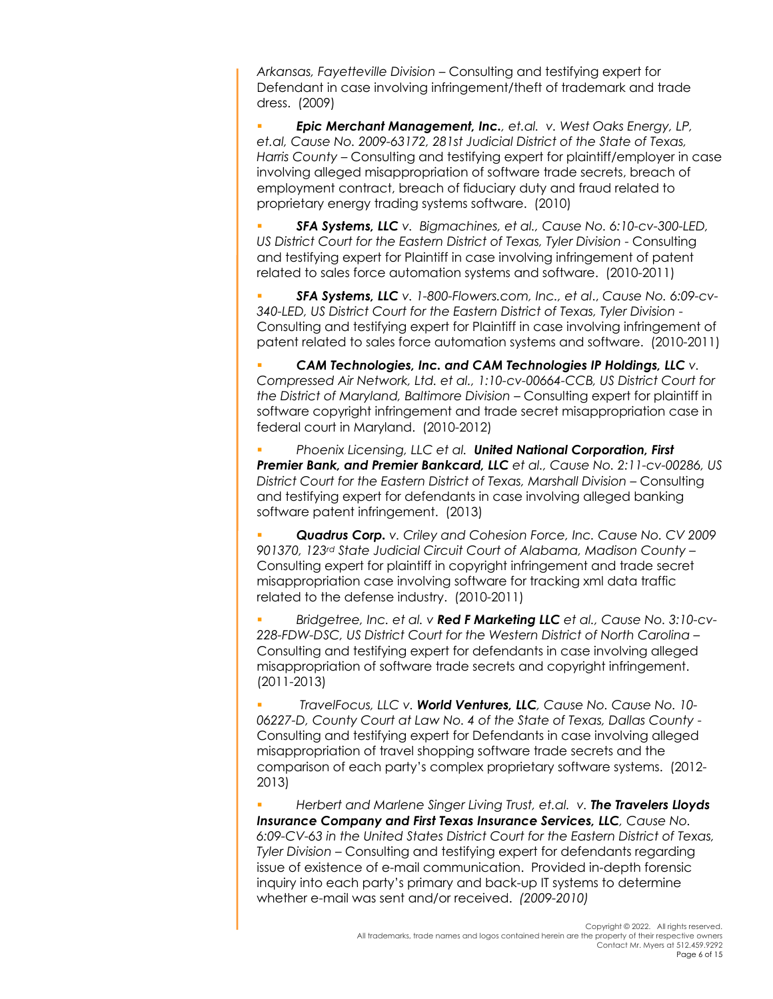*Arkansas, Fayetteville Division* – Consulting and testifying expert for Defendant in case involving infringement/theft of trademark and trade dress. (2009)

§ *Epic Merchant Management, Inc., et.al. v. West Oaks Energy, LP, et.al, Cause No. 2009-63172, 281st Judicial District of the State of Texas, Harris County* – Consulting and testifying expert for plaintiff/employer in case involving alleged misappropriation of software trade secrets, breach of employment contract, breach of fiduciary duty and fraud related to proprietary energy trading systems software. (2010)

§ *SFA Systems, LLC v. Bigmachines, et al., Cause No. 6:10-cv-300-LED, US District Court for the Eastern District of Texas, Tyler Division* - Consulting and testifying expert for Plaintiff in case involving infringement of patent related to sales force automation systems and software. (2010-2011)

§ *SFA Systems, LLC v. 1-800-Flowers.com, Inc., et al*., *Cause No. 6:09-cv-340-LED, US District Court for the Eastern District of Texas, Tyler Division* - Consulting and testifying expert for Plaintiff in case involving infringement of patent related to sales force automation systems and software. (2010-2011)

§ *CAM Technologies, Inc. and CAM Technologies IP Holdings, LLC v. Compressed Air Network, Ltd. et al., 1:10-cv-00664-CCB, US District Court for the District of Maryland, Baltimore Division* – Consulting expert for plaintiff in software copyright infringement and trade secret misappropriation case in federal court in Maryland. (2010-2012)

§ *Phoenix Licensing, LLC et al. United National Corporation, First Premier Bank, and Premier Bankcard, LLC et al., Cause No. 2:11-cv-00286, US District Court for the Eastern District of Texas, Marshall Division –* Consulting and testifying expert for defendants in case involving alleged banking software patent infringement. (2013)

§ *Quadrus Corp. v. Criley and Cohesion Force, Inc. Cause No. CV 2009 901370, 123rd State Judicial Circuit Court of Alabama, Madison County* – Consulting expert for plaintiff in copyright infringement and trade secret misappropriation case involving software for tracking xml data traffic related to the defense industry. (2010-2011)

§ *Bridgetree, Inc. et al. v Red F Marketing LLC et al., Cause No. 3:10-cv-228-FDW-DSC, US District Court for the Western District of North Carolina* – Consulting and testifying expert for defendants in case involving alleged misappropriation of software trade secrets and copyright infringement. (2011-2013)

§ *TravelFocus, LLC v. World Ventures, LLC, Cause No. Cause No. 10-* 06227-D, County Court at Law No. 4 of the State of Texas, Dallas County -Consulting and testifying expert for Defendants in case involving alleged misappropriation of travel shopping software trade secrets and the comparison of each party's complex proprietary software systems. (2012- 2013)

§ *Herbert and Marlene Singer Living Trust, et.al. v. The Travelers Lloyds Insurance Company and First Texas Insurance Services, LLC, Cause No. 6:09-CV-63 in the United States District Court for the Eastern District of Texas, Tyler Division* – Consulting and testifying expert for defendants regarding issue of existence of e-mail communication. Provided in-depth forensic inquiry into each party's primary and back-up IT systems to determine whether e-mail was sent and/or received. *(2009-2010)*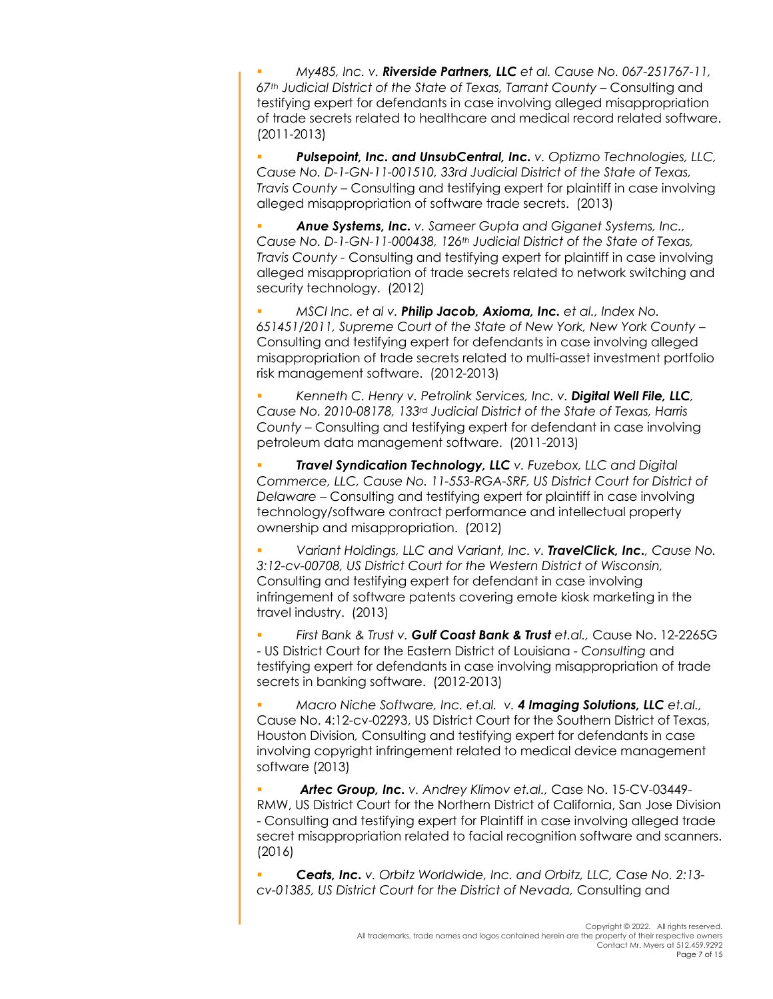§ *My485, Inc. v. Riverside Partners, LLC et al. Cause No. 067-251767-11, 67th Judicial District of the State of Texas, Tarrant County –* Consulting and testifying expert for defendants in case involving alleged misappropriation of trade secrets related to healthcare and medical record related software. (2011-2013)

§ *Pulsepoint, Inc. and UnsubCentral, Inc. v. Optizmo Technologies, LLC, Cause No. D-1-GN-11-001510, 33rd Judicial District of the State of Texas, Travis County* – Consulting and testifying expert for plaintiff in case involving alleged misappropriation of software trade secrets. (2013)

§ *Anue Systems, Inc. v. Sameer Gupta and Giganet Systems, Inc., Cause No. D-1-GN-11-000438, 126th Judicial District of the State of Texas, Travis County -* Consulting and testifying expert for plaintiff in case involving alleged misappropriation of trade secrets related to network switching and security technology. (2012)

§ *MSCI Inc. et al v. Philip Jacob, Axioma, Inc. et al., Index No. 651451/2011, Supreme Court of the State of New York, New York County* – Consulting and testifying expert for defendants in case involving alleged misappropriation of trade secrets related to multi-asset investment portfolio risk management software. (2012-2013)

§ *Kenneth C. Henry v. Petrolink Services, Inc. v. Digital Well File, LLC, Cause No. 2010-08178, 133rd Judicial District of the State of Texas, Harris County* – Consulting and testifying expert for defendant in case involving petroleum data management software. (2011-2013)

§ *Travel Syndication Technology, LLC v. Fuzebox, LLC and Digital Commerce, LLC, Cause No. 11-553-RGA-SRF, US District Court for District of Delaware* – Consulting and testifying expert for plaintiff in case involving technology/software contract performance and intellectual property ownership and misappropriation. (2012)

§ *Variant Holdings, LLC and Variant, Inc. v. TravelClick, Inc., Cause No. 3:12-cv-00708, US District Court for the Western District of Wisconsin,*  Consulting and testifying expert for defendant in case involving infringement of software patents covering emote kiosk marketing in the travel industry. (2013)

§ *First Bank & Trust v. Gulf Coast Bank & Trust et.al.,* Cause No. 12-2265G - US District Court for the Eastern District of Louisiana *- Consulting* and testifying expert for defendants in case involving misappropriation of trade secrets in banking software. (2012-2013)

§ *Macro Niche Software, Inc. et.al. v. 4 Imaging Solutions, LLC et.al.,*  Cause No. 4:12-cv-02293, US District Court for the Southern District of Texas, Houston Division*,* Consulting and testifying expert for defendants in case involving copyright infringement related to medical device management software (2013)

§ *Artec Group, Inc. v. Andrey Klimov et.al.,* Case No. 15-CV-03449- RMW, US District Court for the Northern District of California, San Jose Division - Consulting and testifying expert for Plaintiff in case involving alleged trade secret misappropriation related to facial recognition software and scanners. (2016)

§ *Ceats, Inc. v. Orbitz Worldwide, Inc. and Orbitz, LLC, Case No. 2:13 cv-01385, US District Court for the District of Nevada,* Consulting and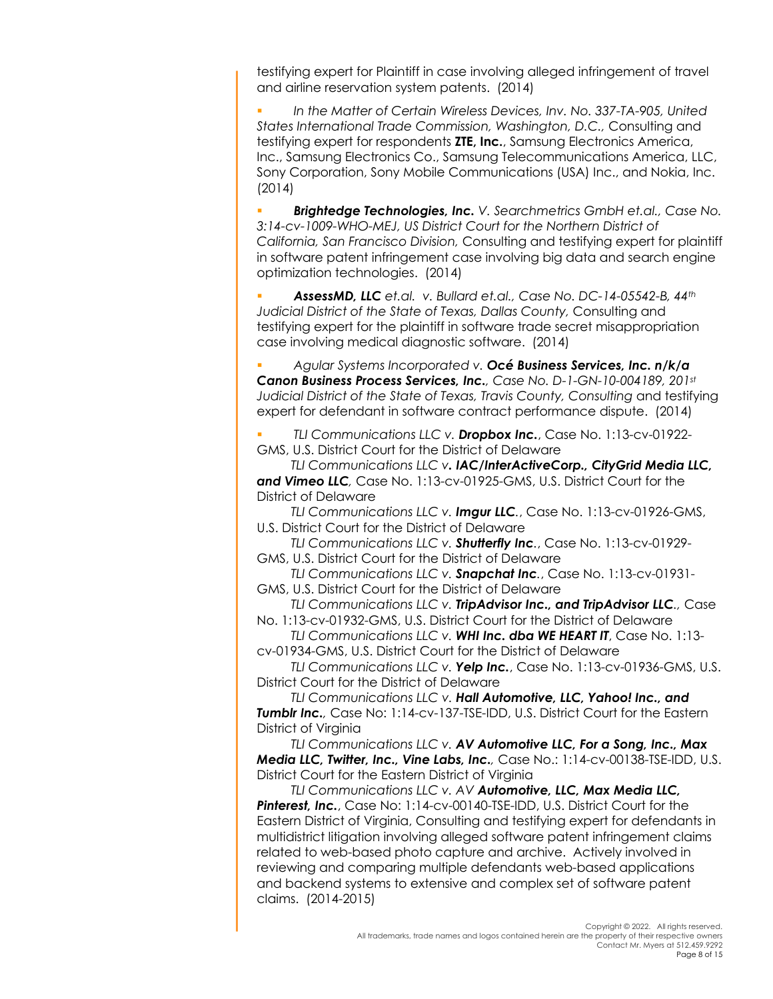testifying expert for Plaintiff in case involving alleged infringement of travel and airline reservation system patents. (2014)

§ *In the Matter of Certain Wireless Devices, Inv. No. 337-TA-905, United States International Trade Commission, Washington, D.C.,* Consulting and testifying expert for respondents **ZTE, Inc.**, Samsung Electronics America, Inc., Samsung Electronics Co., Samsung Telecommunications America, LLC, Sony Corporation, Sony Mobile Communications (USA) Inc., and Nokia, Inc. (2014)

§ *Brightedge Technologies, Inc. V. Searchmetrics GmbH et.al., Case No. 3:14-cv-1009-WHO-MEJ, US District Court for the Northern District of California, San Francisco Division,* Consulting and testifying expert for plaintiff in software patent infringement case involving big data and search engine optimization technologies. (2014)

§ *AssessMD, LLC et.al. v. Bullard et.al., Case No. DC-14-05542-B, 44th Judicial District of the State of Texas, Dallas County,* Consulting and testifying expert for the plaintiff in software trade secret misappropriation case involving medical diagnostic software. (2014)

§ *Agular Systems Incorporated v. Océ Business Services, Inc. n/k/a Canon Business Process Services, Inc., Case No. D-1-GN-10-004189, 201st Judicial District of the State of Texas, Travis County, Consulting* and testifying expert for defendant in software contract performance dispute. (2014)

§ *TLI Communications LLC v. Dropbox Inc.*, Case No. 1:13-cv-01922- GMS, U.S. District Court for the District of Delaware

*TLI Communications LLC v. IAC/InterActiveCorp., CityGrid Media LLC, and Vimeo LLC,* Case No. 1:13-cv-01925-GMS, U.S. District Court for the District of Delaware

*TLI Communications LLC v. Imgur LLC.*, Case No. 1:13-cv-01926-GMS, U.S. District Court for the District of Delaware

*TLI Communications LLC v. Shutterfly Inc.*, Case No. 1:13-cv-01929- GMS, U.S. District Court for the District of Delaware

*TLI Communications LLC v. Snapchat Inc.*, Case No. 1:13-cv-01931- GMS, U.S. District Court for the District of Delaware

*TLI Communications LLC v. TripAdvisor Inc., and TripAdvisor LLC.,* Case No. 1:13-cv-01932-GMS, U.S. District Court for the District of Delaware

*TLI Communications LLC v. WHI Inc. dba WE HEART IT*, Case No. 1:13 cv-01934-GMS, U.S. District Court for the District of Delaware

*TLI Communications LLC v. Yelp Inc.*, Case No. 1:13-cv-01936-GMS, U.S. District Court for the District of Delaware

*TLI Communications LLC v. Hall Automotive, LLC, Yahoo! Inc., and Tumblr Inc.,* Case No: 1:14-cv-137-TSE-IDD, U.S. District Court for the Eastern District of Virginia

*TLI Communications LLC v. AV Automotive LLC, For a Song, Inc., Max Media LLC, Twitter, Inc., Vine Labs, Inc.,* Case No.: 1:14-cv-00138-TSE-IDD, U.S. District Court for the Eastern District of Virginia

*TLI Communications LLC v. AV Automotive, LLC, Max Media LLC, Pinterest, Inc.*, Case No: 1:14-cv-00140-TSE-IDD, U.S. District Court for the Eastern District of Virginia, Consulting and testifying expert for defendants in multidistrict litigation involving alleged software patent infringement claims related to web-based photo capture and archive. Actively involved in reviewing and comparing multiple defendants web-based applications and backend systems to extensive and complex set of software patent claims. (2014-2015)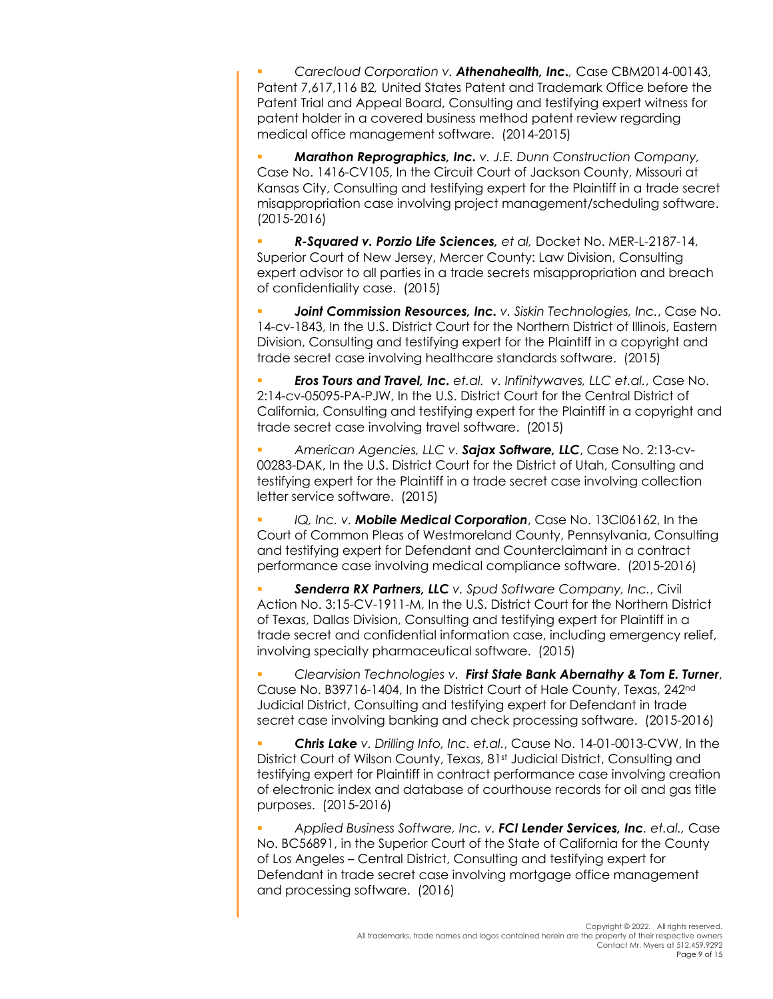§ *Carecloud Corporation v. Athenahealth, Inc.,* Case CBM2014-00143, Patent 7,617,116 B2*,* United States Patent and Trademark Office before the Patent Trial and Appeal Board, Consulting and testifying expert witness for patent holder in a covered business method patent review regarding medical office management software. (2014-2015)

§ *Marathon Reprographics, Inc. v. J.E. Dunn Construction Company,*  Case No. 1416-CV105, In the Circuit Court of Jackson County, Missouri at Kansas City, Consulting and testifying expert for the Plaintiff in a trade secret misappropriation case involving project management/scheduling software. (2015-2016)

§ *R-Squared v. Porzio Life Sciences, et al,* Docket No. MER-L-2187-14, Superior Court of New Jersey, Mercer County: Law Division, Consulting expert advisor to all parties in a trade secrets misappropriation and breach of confidentiality case. (2015)

**Joint Commission Resources, Inc.** v. Siskin Technologies, Inc., Case No. 14-cv-1843, In the U.S. District Court for the Northern District of Illinois, Eastern Division, Consulting and testifying expert for the Plaintiff in a copyright and trade secret case involving healthcare standards software. (2015)

§ *Eros Tours and Travel, Inc. et.al. v. Infinitywaves, LLC et.al.*, Case No. 2:14-cv-05095-PA-PJW, In the U.S. District Court for the Central District of California, Consulting and testifying expert for the Plaintiff in a copyright and trade secret case involving travel software.(2015)

§ *American Agencies, LLC v. Sajax Software, LLC*, Case No. 2:13-cv-00283-DAK, In the U.S. District Court for the District of Utah, Consulting and testifying expert for the Plaintiff in a trade secret case involving collection letter service software. (2015)

§ *IQ, Inc. v. Mobile Medical Corporation*, Case No. 13CI06162, In the Court of Common Pleas of Westmoreland County, Pennsylvania, Consulting and testifying expert for Defendant and Counterclaimant in a contract performance case involving medical compliance software. (2015-2016)

§ *Senderra RX Partners, LLC v. Spud Software Company, Inc.*, Civil Action No. 3:15-CV-1911-M, In the U.S. District Court for the Northern District of Texas, Dallas Division, Consulting and testifying expert for Plaintiff in a trade secret and confidential information case, including emergency relief, involving specialty pharmaceutical software. (2015)

§ *Clearvision Technologies v. First State Bank Abernathy & Tom E. Turner*, Cause No. B39716-1404, In the District Court of Hale County, Texas, 242nd Judicial District, Consulting and testifying expert for Defendant in trade secret case involving banking and check processing software. (2015-2016)

§ *Chris Lake v. Drilling Info, Inc. et.al.*, Cause No. 14-01-0013-CVW, In the District Court of Wilson County, Texas, 81st Judicial District, Consulting and testifying expert for Plaintiff in contract performance case involving creation of electronic index and database of courthouse records for oil and gas title purposes. (2015-2016)

§ *Applied Business Software, Inc. v. FCI Lender Services, Inc. et.al.,* Case No. BC56891, in the Superior Court of the State of California for the County of Los Angeles – Central District, Consulting and testifying expert for Defendant in trade secret case involving mortgage office management and processing software. (2016)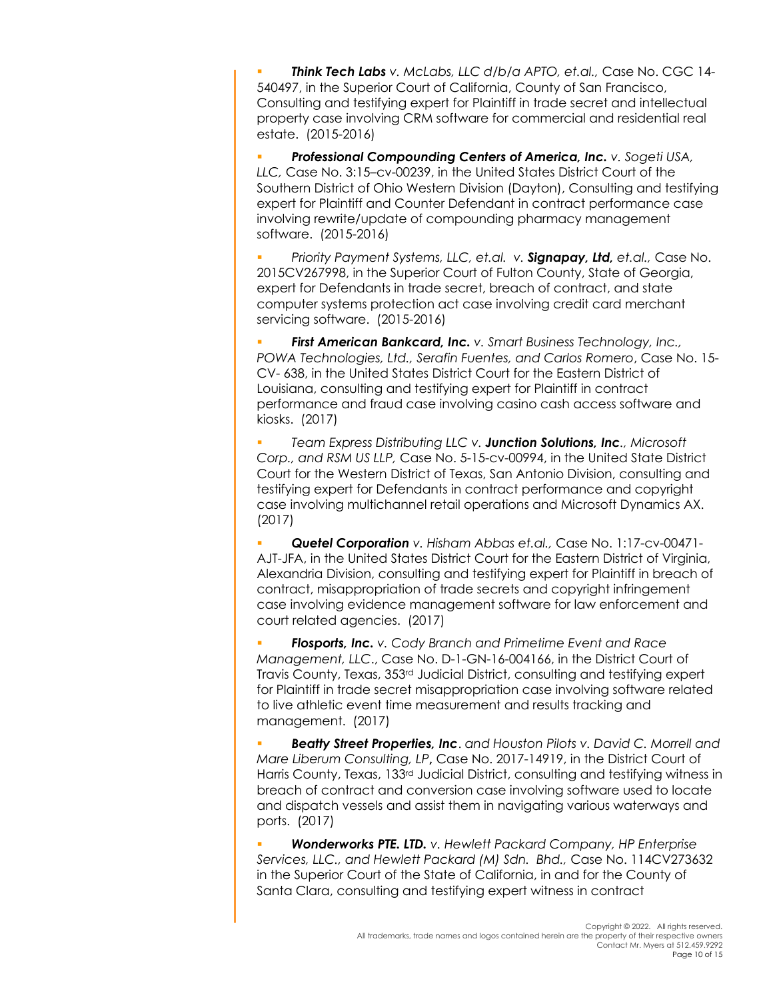§ *Think Tech Labs v. McLabs, LLC d/b/a APTO, et.al.,* Case No. CGC 14- 540497, in the Superior Court of California, County of San Francisco, Consulting and testifying expert for Plaintiff in trade secret and intellectual property case involving CRM software for commercial and residential real estate. (2015-2016)

§ *Professional Compounding Centers of America, Inc. v. Sogeti USA, LLC,* Case No. 3:15–cv-00239, in the United States District Court of the Southern District of Ohio Western Division (Dayton), Consulting and testifying expert for Plaintiff and Counter Defendant in contract performance case involving rewrite/update of compounding pharmacy management software. (2015-2016)

§ *Priority Payment Systems, LLC, et.al. v. Signapay, Ltd, et.al.,* Case No. 2015CV267998, in the Superior Court of Fulton County, State of Georgia, expert for Defendants in trade secret, breach of contract, and state computer systems protection act case involving credit card merchant servicing software. (2015-2016)

§ *First American Bankcard, Inc. v. Smart Business Technology, Inc., POWA Technologies, Ltd., Serafin Fuentes, and Carlos Romero*, Case No. 15- CV- 638, in the United States District Court for the Eastern District of Louisiana, consulting and testifying expert for Plaintiff in contract performance and fraud case involving casino cash access software and kiosks. (2017)

§ *Team Express Distributing LLC v. Junction Solutions, Inc., Microsoft Corp., and RSM US LLP,* Case No. 5-15-cv-00994, in the United State District Court for the Western District of Texas, San Antonio Division, consulting and testifying expert for Defendants in contract performance and copyright case involving multichannel retail operations and Microsoft Dynamics AX. (2017)

§ *Quetel Corporation v. Hisham Abbas et.al.,* Case No. 1:17-cv-00471- AJT-JFA, in the United States District Court for the Eastern District of Virginia, Alexandria Division, consulting and testifying expert for Plaintiff in breach of contract, misappropriation of trade secrets and copyright infringement case involving evidence management software for law enforcement and court related agencies. (2017)

§ *Flosports, Inc. v. Cody Branch and Primetime Event and Race Management, LLC*., Case No. D-1-GN-16-004166, in the District Court of Travis County, Texas, 353rd Judicial District, consulting and testifying expert for Plaintiff in trade secret misappropriation case involving software related to live athletic event time measurement and results tracking and management. (2017)

§ *Beatty Street Properties, Inc*. *and Houston Pilots v. David C. Morrell and Mare Liberum Consulting, LP***,** Case No. 2017-14919, in the District Court of Harris County, Texas, 133rd Judicial District, consulting and testifying witness in breach of contract and conversion case involving software used to locate and dispatch vessels and assist them in navigating various waterways and ports. (2017)

§ *Wonderworks PTE. LTD. v. Hewlett Packard Company, HP Enterprise Services, LLC., and Hewlett Packard (M) Sdn. Bhd.,* Case No. 114CV273632 in the Superior Court of the State of California, in and for the County of Santa Clara, consulting and testifying expert witness in contract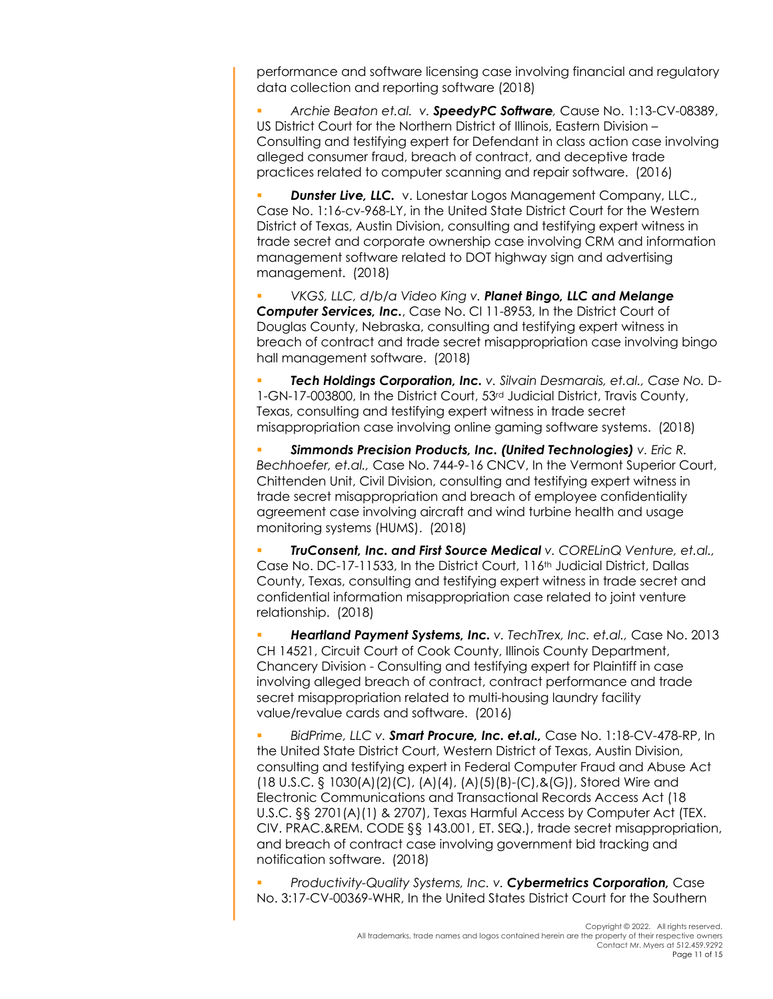performance and software licensing case involving financial and regulatory data collection and reporting software (2018)

§ *Archie Beaton et.al. v. SpeedyPC Software,* Cause No. 1:13-CV-08389, US District Court for the Northern District of Illinois, Eastern Division – Consulting and testifying expert for Defendant in class action case involving alleged consumer fraud, breach of contract, and deceptive trade practices related to computer scanning and repair software. (2016)

**Dunster Live, LLC.** v. Lonestar Logos Management Company, LLC., Case No. 1:16-cv-968-LY, in the United State District Court for the Western District of Texas, Austin Division, consulting and testifying expert witness in trade secret and corporate ownership case involving CRM and information management software related to DOT highway sign and advertising management. (2018)

§ *VKGS, LLC, d/b/a Video King v. Planet Bingo, LLC and Melange Computer Services, Inc.*, Case No. CI 11-8953, In the District Court of Douglas County, Nebraska, consulting and testifying expert witness in breach of contract and trade secret misappropriation case involving bingo hall management software. (2018)

§ *Tech Holdings Corporation, Inc. v. Silvain Desmarais, et.al., Case No.* D-1-GN-17-003800, In the District Court, 53rd Judicial District, Travis County, Texas, consulting and testifying expert witness in trade secret misappropriation case involving online gaming software systems. (2018)

§ *Simmonds Precision Products, Inc. (United Technologies) v. Eric R. Bechhoefer, et.al.,* Case No. 744-9-16 CNCV, In the Vermont Superior Court, Chittenden Unit, Civil Division, consulting and testifying expert witness in trade secret misappropriation and breach of employee confidentiality agreement case involving aircraft and wind turbine health and usage monitoring systems (HUMS). (2018)

§ *TruConsent, Inc. and First Source Medical v. CORELinQ Venture, et.al.,*  Case No. DC-17-11533, In the District Court, 116th Judicial District, Dallas County, Texas, consulting and testifying expert witness in trade secret and confidential information misappropriation case related to joint venture relationship. (2018)

§ *Heartland Payment Systems, Inc. v. TechTrex, Inc. et.al.,* Case No. 2013 CH 14521, Circuit Court of Cook County, Illinois County Department, Chancery Division - Consulting and testifying expert for Plaintiff in case involving alleged breach of contract, contract performance and trade secret misappropriation related to multi-housing laundry facility value/revalue cards and software. (2016)

§ *BidPrime, LLC v. Smart Procure, Inc. et.al.,* Case No. 1:18-CV-478-RP, In the United State District Court, Western District of Texas, Austin Division, consulting and testifying expert in Federal Computer Fraud and Abuse Act (18 U.S.C. § 1030(A)(2)(C), (A)(4), (A)(5)(B)-(C),&(G)), Stored Wire and Electronic Communications and Transactional Records Access Act (18 U.S.C. §§ 2701(A)(1) & 2707), Texas Harmful Access by Computer Act (TEX. CIV. PRAC.&REM. CODE §§ 143.001, ET. SEQ.), trade secret misappropriation, and breach of contract case involving government bid tracking and notification software. (2018)

§ *Productivity-Quality Systems, Inc. v. Cybermetrics Corporation,* Case No. 3:17-CV-00369-WHR, In the United States District Court for the Southern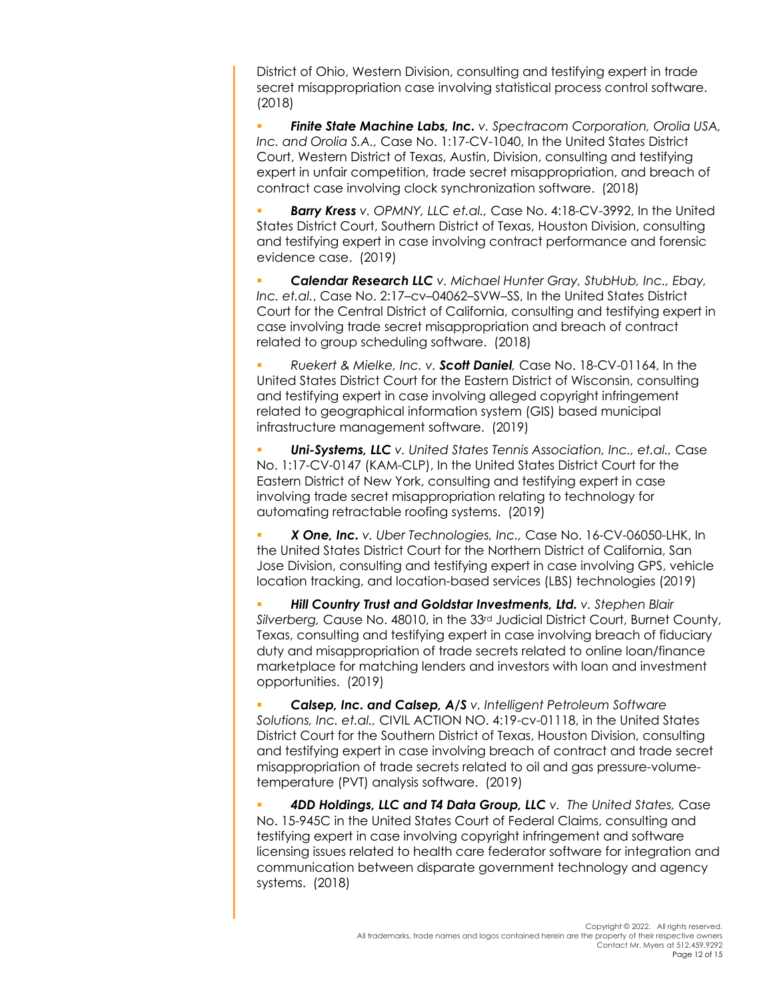District of Ohio, Western Division, consulting and testifying expert in trade secret misappropriation case involving statistical process control software. (2018)

§ *Finite State Machine Labs, Inc. v. Spectracom Corporation, Orolia USA, Inc. and Orolia S.A.,* Case No. 1:17-CV-1040, In the United States District Court, Western District of Texas, Austin, Division, consulting and testifying expert in unfair competition, trade secret misappropriation, and breach of contract case involving clock synchronization software. (2018)

§ *Barry Kress v. OPMNY, LLC et.al.,* Case No. 4:18-CV-3992, In the United States District Court, Southern District of Texas, Houston Division, consulting and testifying expert in case involving contract performance and forensic evidence case. (2019)

§ *Calendar Research LLC v. Michael Hunter Gray, StubHub, Inc., Ebay, Inc. et.al.*, Case No. 2:17–cv–04062–SVW–SS, In the United States District Court for the Central District of California, consulting and testifying expert in case involving trade secret misappropriation and breach of contract related to group scheduling software. (2018)

§ *Ruekert & Mielke, Inc. v. Scott Daniel,* Case No. 18-CV-01164, In the United States District Court for the Eastern District of Wisconsin, consulting and testifying expert in case involving alleged copyright infringement related to geographical information system (GIS) based municipal infrastructure management software. (2019)

§ *Uni-Systems, LLC v. United States Tennis Association, Inc., et.al.,* Case No. 1:17-CV-0147 (KAM-CLP), In the United States District Court for the Eastern District of New York, consulting and testifying expert in case involving trade secret misappropriation relating to technology for automating retractable roofing systems. (2019)

§ *X One, Inc. v. Uber Technologies, Inc.,* Case No. 16-CV-06050-LHK, In the United States District Court for the Northern District of California, San Jose Division, consulting and testifying expert in case involving GPS, vehicle location tracking, and location-based services (LBS) technologies (2019)

§ *Hill Country Trust and Goldstar Investments, Ltd. v. Stephen Blair*  Silverberg, Cause No. 48010, in the 33<sup>rd</sup> Judicial District Court, Burnet County, Texas, consulting and testifying expert in case involving breach of fiduciary duty and misappropriation of trade secrets related to online loan/finance marketplace for matching lenders and investors with loan and investment opportunities. (2019)

§ *Calsep, Inc. and Calsep, A/S v. Intelligent Petroleum Software Solutions, Inc. et.al.,* CIVIL ACTION NO. 4:19-cv-01118, in the United States District Court for the Southern District of Texas, Houston Division, consulting and testifying expert in case involving breach of contract and trade secret misappropriation of trade secrets related to oil and gas pressure-volumetemperature (PVT) analysis software. (2019)

§ *4DD Holdings, LLC and T4 Data Group, LLC v. The United States,* Case No. 15-945C in the United States Court of Federal Claims, consulting and testifying expert in case involving copyright infringement and software licensing issues related to health care federator software for integration and communication between disparate government technology and agency systems. (2018)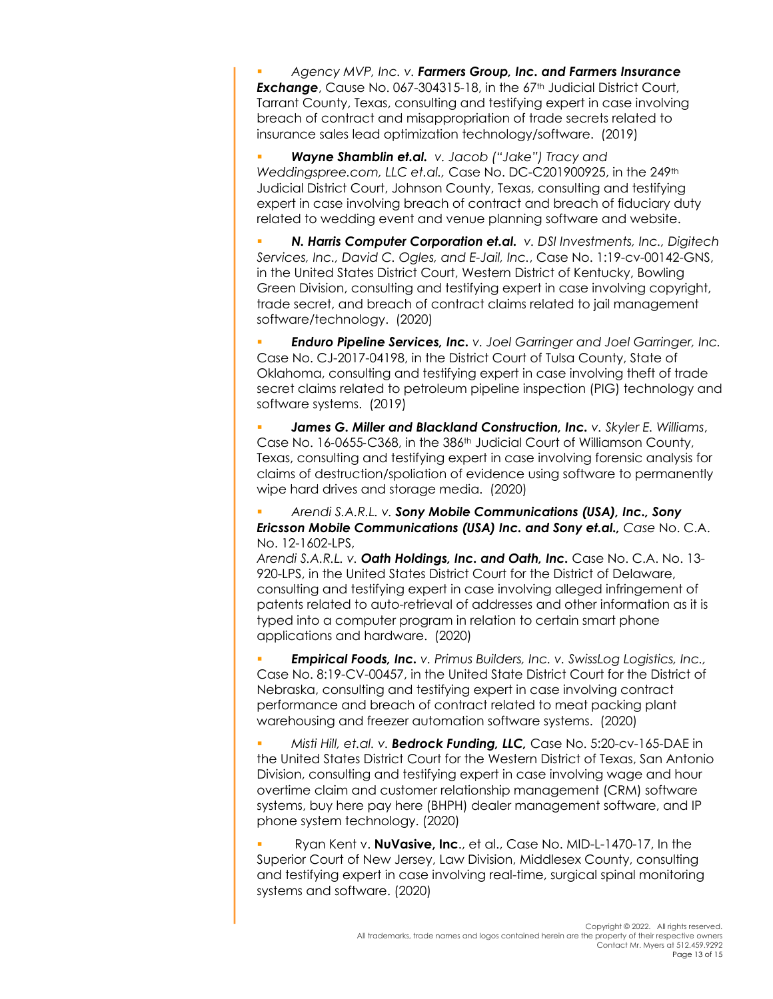§ *Agency MVP, Inc. v. Farmers Group, Inc. and Farmers Insurance*  **Exchange**, Cause No. 067-304315-18, in the 67<sup>th</sup> Judicial District Court, Tarrant County, Texas, consulting and testifying expert in case involving breach of contract and misappropriation of trade secrets related to insurance sales lead optimization technology/software. (2019)

§ *Wayne Shamblin et.al. v. Jacob ("Jake") Tracy and Weddingspree.com, LLC et.al.,* Case No. DC-C201900925, in the 249th Judicial District Court, Johnson County, Texas, consulting and testifying expert in case involving breach of contract and breach of fiduciary duty related to wedding event and venue planning software and website.

§ *N. Harris Computer Corporation et.al. v. DSI Investments, Inc., Digitech Services, Inc., David C. Ogles, and E-Jail, Inc.*, Case No. 1:19-cv-00142-GNS, in the United States District Court, Western District of Kentucky, Bowling Green Division, consulting and testifying expert in case involving copyright, trade secret, and breach of contract claims related to jail management software/technology. (2020)

§ *Enduro Pipeline Services, Inc. v. Joel Garringer and Joel Garringer, Inc.*  Case No. CJ-2017-04198, in the District Court of Tulsa County, State of Oklahoma, consulting and testifying expert in case involving theft of trade secret claims related to petroleum pipeline inspection (PIG) technology and software systems. (2019)

§ *James G. Miller and Blackland Construction, Inc. v. Skyler E. Williams*, Case No. 16-0655-C368, in the 386th Judicial Court of Williamson County, Texas, consulting and testifying expert in case involving forensic analysis for claims of destruction/spoliation of evidence using software to permanently wipe hard drives and storage media. (2020)

§ *Arendi S.A.R.L. v. Sony Mobile Communications (USA), Inc., Sony Ericsson Mobile Communications (USA) Inc. and Sony et.al., Case* No. C.A. No. 12-1602-LPS,

*Arendi S.A.R.L. v. Oath Holdings, Inc. and Oath, Inc.* Case No. C.A. No. 13- 920-LPS, in the United States District Court for the District of Delaware, consulting and testifying expert in case involving alleged infringement of patents related to auto-retrieval of addresses and other information as it is typed into a computer program in relation to certain smart phone applications and hardware. (2020)

§ *Empirical Foods, Inc. v. Primus Builders, Inc. v. SwissLog Logistics, Inc.,*  Case No. 8:19-CV-00457, in the United State District Court for the District of Nebraska, consulting and testifying expert in case involving contract performance and breach of contract related to meat packing plant warehousing and freezer automation software systems. (2020)

§ *Misti Hill, et.al. v. Bedrock Funding, LLC,* Case No. 5:20-cv-165-DAE in the United States District Court for the Western District of Texas, San Antonio Division, consulting and testifying expert in case involving wage and hour overtime claim and customer relationship management (CRM) software systems, buy here pay here (BHPH) dealer management software, and IP phone system technology. (2020)

§ Ryan Kent v. **NuVasive, Inc**., et al., Case No. MID-L-1470-17, In the Superior Court of New Jersey, Law Division, Middlesex County, consulting and testifying expert in case involving real-time, surgical spinal monitoring systems and software. (2020)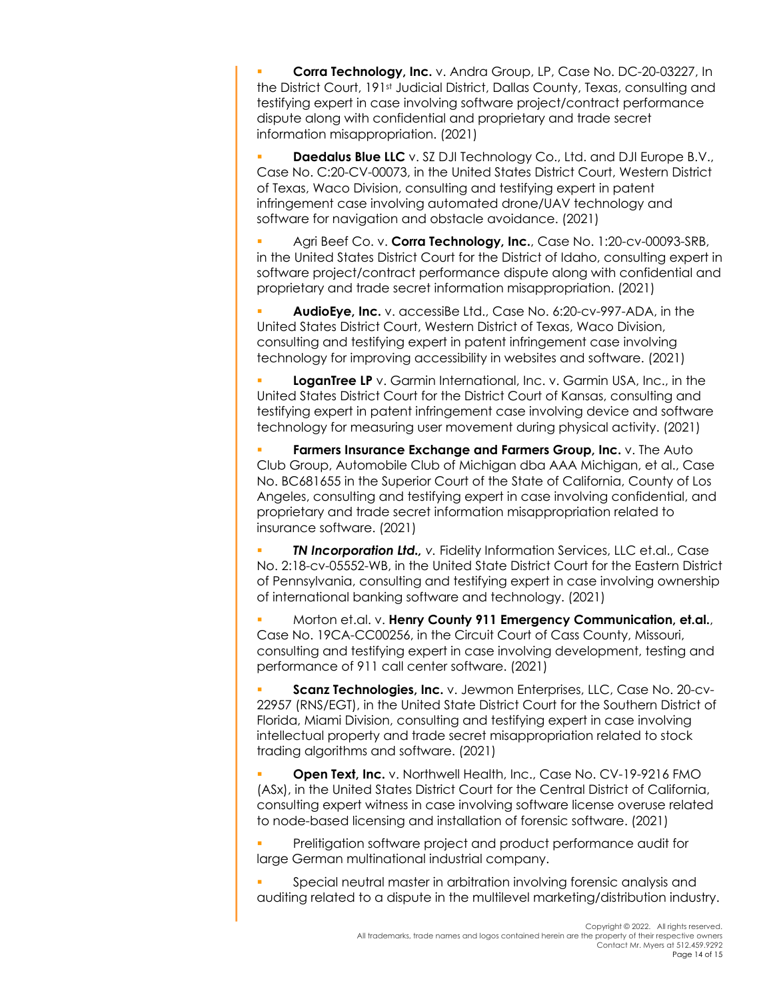§ **Corra Technology, Inc.** v. Andra Group, LP, Case No. DC-20-03227, In the District Court, 191st Judicial District, Dallas County, Texas, consulting and testifying expert in case involving software project/contract performance dispute along with confidential and proprietary and trade secret information misappropriation. (2021)

**Daedalus Blue LLC** v. SZ DJI Technology Co., Ltd. and DJI Europe B.V., Case No. C:20-CV-00073, in the United States District Court, Western District of Texas, Waco Division, consulting and testifying expert in patent infringement case involving automated drone/UAV technology and software for navigation and obstacle avoidance. (2021)

§ Agri Beef Co. v. **Corra Technology, Inc.**, Case No. 1:20-cv-00093-SRB, in the United States District Court for the District of Idaho, consulting expert in software project/contract performance dispute along with confidential and proprietary and trade secret information misappropriation. (2021)

§ **AudioEye, Inc.** v. accessiBe Ltd., Case No. 6:20-cv-997-ADA, in the United States District Court, Western District of Texas, Waco Division, consulting and testifying expert in patent infringement case involving technology for improving accessibility in websites and software. (2021)

**LoganTree LP** v. Garmin International, Inc. v. Garmin USA, Inc., in the United States District Court for the District Court of Kansas, consulting and testifying expert in patent infringement case involving device and software technology for measuring user movement during physical activity. (2021)

§ **Farmers Insurance Exchange and Farmers Group, Inc.** v. The Auto Club Group, Automobile Club of Michigan dba AAA Michigan, et al., Case No. BC681655 in the Superior Court of the State of California, County of Los Angeles, consulting and testifying expert in case involving confidential, and proprietary and trade secret information misappropriation related to insurance software. (2021)

*TN Incorporation Ltd., v. Fidelity Information Services, LLC et.al., Case* No. 2:18-cv-05552-WB, in the United State District Court for the Eastern District of Pennsylvania, consulting and testifying expert in case involving ownership of international banking software and technology. (2021)

§ Morton et.al. v. **Henry County 911 Emergency Communication, et.al.**, Case No. 19CA-CC00256, in the Circuit Court of Cass County, Missouri, consulting and testifying expert in case involving development, testing and performance of 911 call center software. (2021)

§ **Scanz Technologies, Inc.** v. Jewmon Enterprises, LLC, Case No. 20-cv-22957 (RNS/EGT), in the United State District Court for the Southern District of Florida, Miami Division, consulting and testifying expert in case involving intellectual property and trade secret misappropriation related to stock trading algorithms and software. (2021)

**Open Text, Inc.** v. Northwell Health, Inc., Case No. CV-19-9216 FMO (ASx), in the United States District Court for the Central District of California, consulting expert witness in case involving software license overuse related to node-based licensing and installation of forensic software. (2021)

§ Prelitigation software project and product performance audit for large German multinational industrial company.

§ Special neutral master in arbitration involving forensic analysis and auditing related to a dispute in the multilevel marketing/distribution industry.